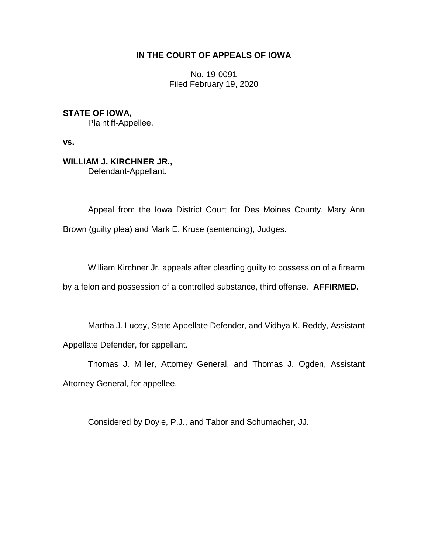# **IN THE COURT OF APPEALS OF IOWA**

No. 19-0091 Filed February 19, 2020

**STATE OF IOWA,** Plaintiff-Appellee,

**vs.**

**WILLIAM J. KIRCHNER JR.,** Defendant-Appellant.

Appeal from the Iowa District Court for Des Moines County, Mary Ann Brown (guilty plea) and Mark E. Kruse (sentencing), Judges.

\_\_\_\_\_\_\_\_\_\_\_\_\_\_\_\_\_\_\_\_\_\_\_\_\_\_\_\_\_\_\_\_\_\_\_\_\_\_\_\_\_\_\_\_\_\_\_\_\_\_\_\_\_\_\_\_\_\_\_\_\_\_\_\_

William Kirchner Jr. appeals after pleading guilty to possession of a firearm

by a felon and possession of a controlled substance, third offense. **AFFIRMED.**

Martha J. Lucey, State Appellate Defender, and Vidhya K. Reddy, Assistant Appellate Defender, for appellant.

Thomas J. Miller, Attorney General, and Thomas J. Ogden, Assistant Attorney General, for appellee.

Considered by Doyle, P.J., and Tabor and Schumacher, JJ.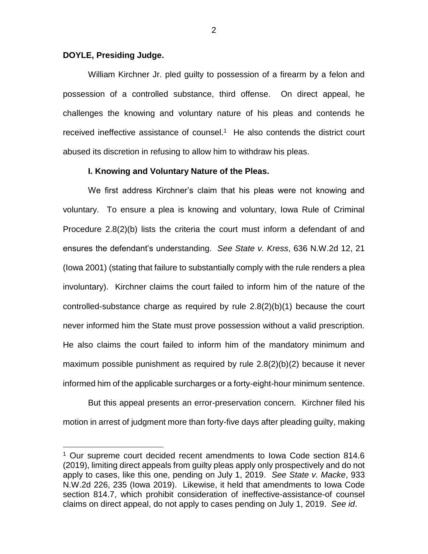### **DOYLE, Presiding Judge.**

 $\overline{a}$ 

William Kirchner Jr. pled guilty to possession of a firearm by a felon and possession of a controlled substance, third offense. On direct appeal, he challenges the knowing and voluntary nature of his pleas and contends he received ineffective assistance of counsel.<sup>1</sup> He also contends the district court abused its discretion in refusing to allow him to withdraw his pleas.

### **I. Knowing and Voluntary Nature of the Pleas.**

We first address Kirchner's claim that his pleas were not knowing and voluntary. To ensure a plea is knowing and voluntary, Iowa Rule of Criminal Procedure 2.8(2)(b) lists the criteria the court must inform a defendant of and ensures the defendant's understanding. *See State v. Kress*, 636 N.W.2d 12, 21 (Iowa 2001) (stating that failure to substantially comply with the rule renders a plea involuntary). Kirchner claims the court failed to inform him of the nature of the controlled-substance charge as required by rule 2.8(2)(b)(1) because the court never informed him the State must prove possession without a valid prescription. He also claims the court failed to inform him of the mandatory minimum and maximum possible punishment as required by rule 2.8(2)(b)(2) because it never informed him of the applicable surcharges or a forty-eight-hour minimum sentence.

But this appeal presents an error-preservation concern. Kirchner filed his motion in arrest of judgment more than forty-five days after pleading guilty, making

<sup>1</sup> Our supreme court decided recent amendments to Iowa Code section 814.6 (2019), limiting direct appeals from guilty pleas apply only prospectively and do not apply to cases, like this one, pending on July 1, 2019. *See State v. Macke*, 933 N.W.2d 226, 235 (Iowa 2019). Likewise, it held that amendments to Iowa Code section 814.7, which prohibit consideration of ineffective-assistance-of counsel claims on direct appeal, do not apply to cases pending on July 1, 2019. *See id*.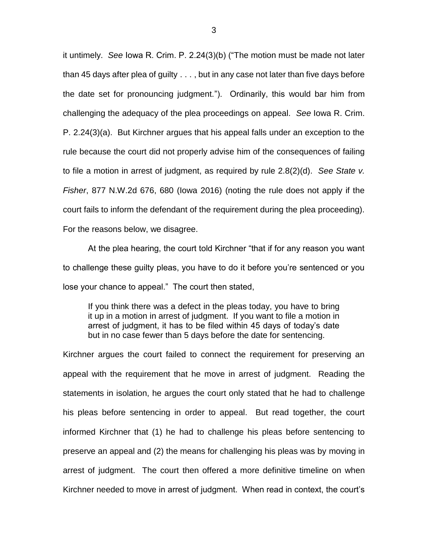it untimely. *See* Iowa R. Crim. P. 2.24(3)(b) ("The motion must be made not later than 45 days after plea of guilty . . . , but in any case not later than five days before the date set for pronouncing judgment."). Ordinarily, this would bar him from challenging the adequacy of the plea proceedings on appeal. *See* Iowa R. Crim. P. 2.24(3)(a). But Kirchner argues that his appeal falls under an exception to the rule because the court did not properly advise him of the consequences of failing to file a motion in arrest of judgment, as required by rule 2.8(2)(d). *See State v. Fisher*, 877 N.W.2d 676, 680 (Iowa 2016) (noting the rule does not apply if the court fails to inform the defendant of the requirement during the plea proceeding). For the reasons below, we disagree.

At the plea hearing, the court told Kirchner "that if for any reason you want to challenge these guilty pleas, you have to do it before you're sentenced or you lose your chance to appeal." The court then stated,

If you think there was a defect in the pleas today, you have to bring it up in a motion in arrest of judgment. If you want to file a motion in arrest of judgment, it has to be filed within 45 days of today's date but in no case fewer than 5 days before the date for sentencing.

Kirchner argues the court failed to connect the requirement for preserving an appeal with the requirement that he move in arrest of judgment. Reading the statements in isolation, he argues the court only stated that he had to challenge his pleas before sentencing in order to appeal. But read together, the court informed Kirchner that (1) he had to challenge his pleas before sentencing to preserve an appeal and (2) the means for challenging his pleas was by moving in arrest of judgment. The court then offered a more definitive timeline on when Kirchner needed to move in arrest of judgment. When read in context, the court's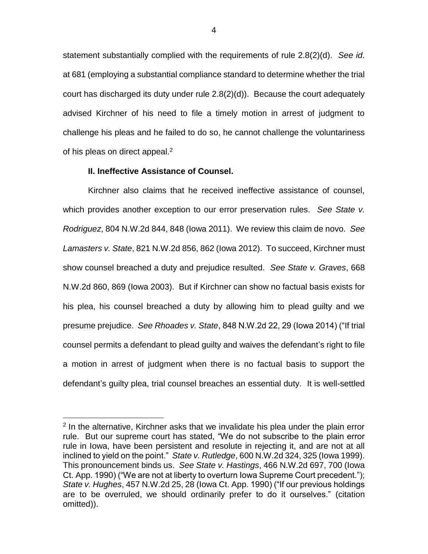statement substantially complied with the requirements of rule 2.8(2)(d). *See id*. at 681 (employing a substantial compliance standard to determine whether the trial court has discharged its duty under rule 2.8(2)(d)). Because the court adequately advised Kirchner of his need to file a timely motion in arrest of judgment to challenge his pleas and he failed to do so, he cannot challenge the voluntariness of his pleas on direct appeal. $<sup>2</sup>$ </sup>

## **II. Ineffective Assistance of Counsel.**

 $\overline{a}$ 

Kirchner also claims that he received ineffective assistance of counsel, which provides another exception to our error preservation rules. *See State v. Rodriguez*, 804 N.W.2d 844, 848 (Iowa 2011). We review this claim de novo. *See Lamasters v. State*, 821 N.W.2d 856, 862 (Iowa 2012). To succeed, Kirchner must show counsel breached a duty and prejudice resulted. *See State v. Graves*, 668 N.W.2d 860, 869 (Iowa 2003). But if Kirchner can show no factual basis exists for his plea, his counsel breached a duty by allowing him to plead guilty and we presume prejudice. *See Rhoades v. State*, 848 N.W.2d 22, 29 (Iowa 2014) ("If trial counsel permits a defendant to plead guilty and waives the defendant's right to file a motion in arrest of judgment when there is no factual basis to support the defendant's guilty plea, trial counsel breaches an essential duty. It is well-settled

<sup>&</sup>lt;sup>2</sup> In the alternative, Kirchner asks that we invalidate his plea under the plain error rule. But our supreme court has stated, "We do not subscribe to the plain error rule in Iowa, have been persistent and resolute in rejecting it, and are not at all inclined to yield on the point." *State v. Rutledge*, 600 N.W.2d 324, 325 (Iowa 1999). This pronouncement binds us. *See State v. Hastings*, 466 N.W.2d 697, 700 (Iowa Ct. App. 1990) ("We are not at liberty to overturn Iowa Supreme Court precedent."); *State v. Hughes*, 457 N.W.2d 25, 28 (Iowa Ct. App. 1990) ("If our previous holdings are to be overruled, we should ordinarily prefer to do it ourselves." (citation omitted)).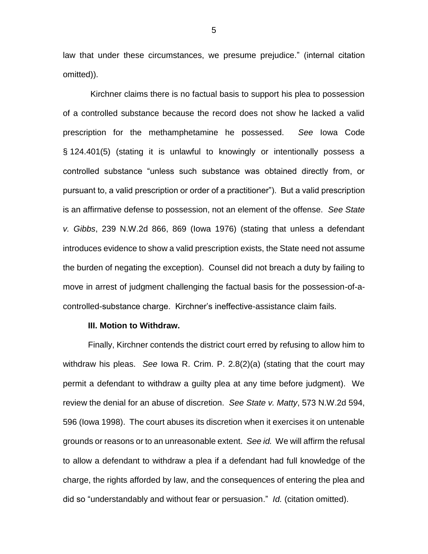law that under these circumstances, we presume prejudice." (internal citation omitted)).

Kirchner claims there is no factual basis to support his plea to possession of a controlled substance because the record does not show he lacked a valid prescription for the methamphetamine he possessed. *See* Iowa Code § 124.401(5) (stating it is unlawful to knowingly or intentionally possess a controlled substance "unless such substance was obtained directly from, or pursuant to, a valid prescription or order of a practitioner"). But a valid prescription is an affirmative defense to possession, not an element of the offense. *See State v. Gibbs*, 239 N.W.2d 866, 869 (Iowa 1976) (stating that unless a defendant introduces evidence to show a valid prescription exists, the State need not assume the burden of negating the exception). Counsel did not breach a duty by failing to move in arrest of judgment challenging the factual basis for the possession-of-acontrolled-substance charge. Kirchner's ineffective-assistance claim fails.

### **III. Motion to Withdraw.**

Finally, Kirchner contends the district court erred by refusing to allow him to withdraw his pleas. *See* Iowa R. Crim. P. 2.8(2)(a) (stating that the court may permit a defendant to withdraw a guilty plea at any time before judgment). We review the denial for an abuse of discretion. *See State v. Matty*, 573 N.W.2d 594, 596 (Iowa 1998). The court abuses its discretion when it exercises it on untenable grounds or reasons or to an unreasonable extent. *See id.* We will affirm the refusal to allow a defendant to withdraw a plea if a defendant had full knowledge of the charge, the rights afforded by law, and the consequences of entering the plea and did so "understandably and without fear or persuasion." *Id.* (citation omitted).